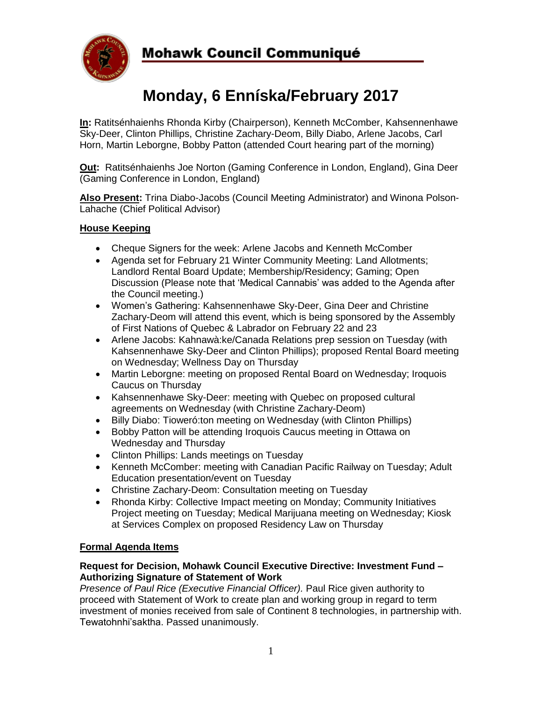

# **Monday, 6 Enníska/February 2017**

**In:** Ratitsénhaienhs Rhonda Kirby (Chairperson), Kenneth McComber, Kahsennenhawe Sky-Deer, Clinton Phillips, Christine Zachary-Deom, Billy Diabo, Arlene Jacobs, Carl Horn, Martin Leborgne, Bobby Patton (attended Court hearing part of the morning)

**Out:** Ratitsénhaienhs Joe Norton (Gaming Conference in London, England), Gina Deer (Gaming Conference in London, England)

**Also Present:** Trina Diabo-Jacobs (Council Meeting Administrator) and Winona Polson-Lahache (Chief Political Advisor)

# **House Keeping**

- Cheque Signers for the week: Arlene Jacobs and Kenneth McComber
- Agenda set for February 21 Winter Community Meeting: Land Allotments; Landlord Rental Board Update; Membership/Residency; Gaming; Open Discussion (Please note that 'Medical Cannabis' was added to the Agenda after the Council meeting.)
- Women's Gathering: Kahsennenhawe Sky-Deer, Gina Deer and Christine Zachary-Deom will attend this event, which is being sponsored by the Assembly of First Nations of Quebec & Labrador on February 22 and 23
- Arlene Jacobs: Kahnawà:ke/Canada Relations prep session on Tuesday (with Kahsennenhawe Sky-Deer and Clinton Phillips); proposed Rental Board meeting on Wednesday; Wellness Day on Thursday
- Martin Leborgne: meeting on proposed Rental Board on Wednesday; Iroquois Caucus on Thursday
- Kahsennenhawe Sky-Deer: meeting with Quebec on proposed cultural agreements on Wednesday (with Christine Zachary-Deom)
- Billy Diabo: Tioweró: ton meeting on Wednesday (with Clinton Phillips)
- Bobby Patton will be attending Iroquois Caucus meeting in Ottawa on Wednesday and Thursday
- Clinton Phillips: Lands meetings on Tuesday
- Kenneth McComber: meeting with Canadian Pacific Railway on Tuesday; Adult Education presentation/event on Tuesday
- Christine Zachary-Deom: Consultation meeting on Tuesday
- Rhonda Kirby: Collective Impact meeting on Monday; Community Initiatives Project meeting on Tuesday; Medical Marijuana meeting on Wednesday; Kiosk at Services Complex on proposed Residency Law on Thursday

# **Formal Agenda Items**

### **Request for Decision, Mohawk Council Executive Directive: Investment Fund – Authorizing Signature of Statement of Work**

*Presence of Paul Rice (Executive Financial Officer).* Paul Rice given authority to proceed with Statement of Work to create plan and working group in regard to term investment of monies received from sale of Continent 8 technologies, in partnership with. Tewatohnhi'saktha. Passed unanimously.